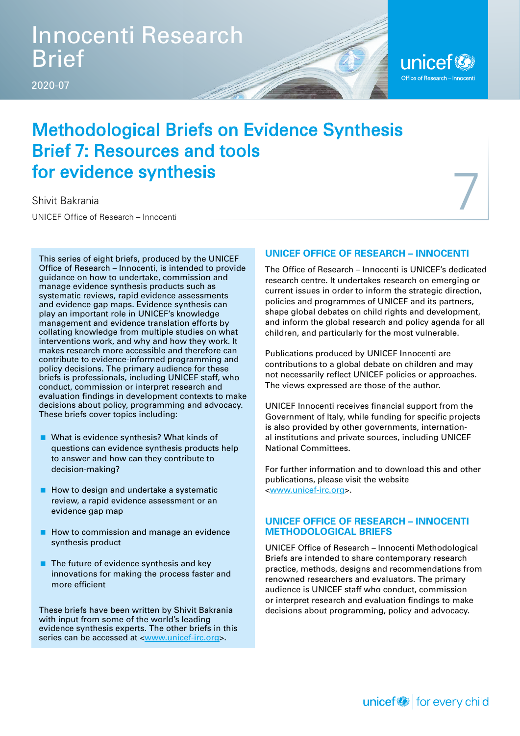## Innocenti Research Brief

2020-07

### unicef<sup>(2)</sup> Office of Research - Innocenti

7

## Methodological Briefs on Evidence Synthesis Brief 7: Resources and tools for evidence synthesis

Shivit Bakrania

UNICEF Office of Research – Innocenti

This series of eight briefs, produced by the UNICEF Office of Research – Innocenti, is intended to provide guidance on how to undertake, commission and manage evidence synthesis products such as systematic reviews, rapid evidence assessments and evidence gap maps. Evidence synthesis can play an important role in UNICEF's knowledge management and evidence translation efforts by collating knowledge from multiple studies on what interventions work, and why and how they work. It makes research more accessible and therefore can contribute to evidence-informed programming and policy decisions. The primary audience for these briefs is professionals, including UNICEF staff, who conduct, commission or interpret research and evaluation findings in development contexts to make decisions about policy, programming and advocacy. These briefs cover topics including:

- What is evidence synthesis? What kinds of questions can evidence synthesis products help to answer and how can they contribute to decision-making?
- $\blacksquare$  How to design and undertake a systematic review, a rapid evidence assessment or an evidence gap map
- $\blacksquare$  How to commission and manage an evidence synthesis product
- $\blacksquare$  The future of evidence synthesis and key innovations for making the process faster and more efficient

These briefs have been written by Shivit Bakrania with input from some of the world's leading evidence synthesis experts. The other briefs in this series can be accessed at <www.unicef-irc.org>.

#### **UNICEF OFFICE OF RESEARCH – INNOCENTI**

The Office of Research – Innocenti is UNICEF's dedicated research centre. It undertakes research on emerging or current issues in order to inform the strategic direction, policies and programmes of UNICEF and its partners, shape global debates on child rights and development, and inform the global research and policy agenda for all children, and particularly for the most vulnerable.

Publications produced by UNICEF Innocenti are contributions to a global debate on children and may not necessarily reflect UNICEF policies or approaches. The views expressed are those of the author.

UNICEF Innocenti receives financial support from the Government of Italy, while funding for specific projects is also provided by other governments, international institutions and private sources, including UNICEF National Committees.

For further information and to download this and other publications, please visit the website <www.unicef-irc.org>.

#### **UNICEF OFFICE OF RESEARCH – INNOCENTI METHODOLOGICAL BRIEFS**

UNICEF Office of Research – Innocenti Methodological Briefs are intended to share contemporary research practice, methods, designs and recommendations from renowned researchers and evaluators. The primary audience is UNICEF staff who conduct, commission or interpret research and evaluation findings to make decisions about programming, policy and advocacy.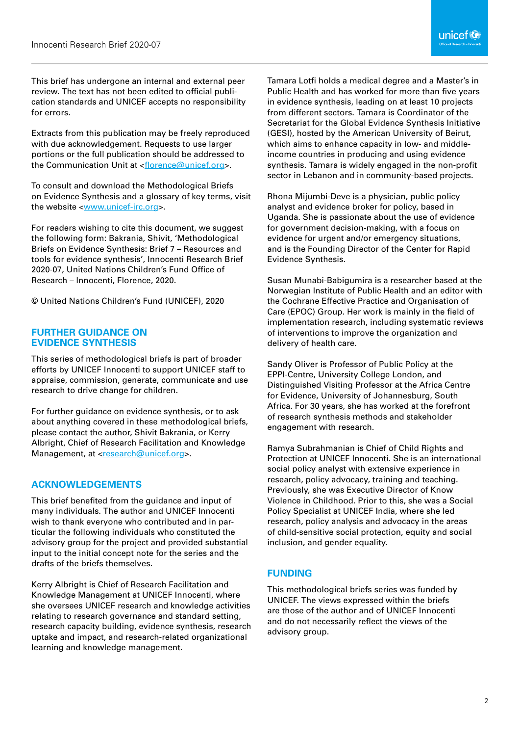This brief has undergone an internal and external peer review. The text has not been edited to official publication standards and UNICEF accepts no responsibility for errors.

Extracts from this publication may be freely reproduced with due acknowledgement. Requests to use larger portions or the full publication should be addressed to the Communication Unit at <florence@unicef.org>.

To consult and download the Methodological Briefs on Evidence Synthesis and a glossary of key terms, visit the website <www.unicef-irc.org>.

For readers wishing to cite this document, we suggest the following form: Bakrania, Shivit, 'Methodological Briefs on Evidence Synthesis: Brief 7 – Resources and tools for evidence synthesis', Innocenti Research Brief 2020-07, United Nations Children's Fund Office of Research – Innocenti, Florence, 2020.

© United Nations Children's Fund (UNICEF), 2020

#### **FURTHER GUIDANCE ON EVIDENCE SYNTHESIS**

This series of methodological briefs is part of broader efforts by UNICEF Innocenti to support UNICEF staff to appraise, commission, generate, communicate and use research to drive change for children.

For further guidance on evidence synthesis, or to ask about anything covered in these methodological briefs, please contact the author, Shivit Bakrania, or Kerry Albright, Chief of Research Facilitation and Knowledge Management, at <research@unicef.org>.

#### **ACKNOWLEDGEMENTS**

This brief benefited from the guidance and input of many individuals. The author and UNICEF Innocenti wish to thank everyone who contributed and in particular the following individuals who constituted the advisory group for the project and provided substantial input to the initial concept note for the series and the drafts of the briefs themselves.

Kerry Albright is Chief of Research Facilitation and Knowledge Management at UNICEF Innocenti, where she oversees UNICEF research and knowledge activities relating to research governance and standard setting, research capacity building, evidence synthesis, research uptake and impact, and research-related organizational learning and knowledge management.

Tamara Lotfi holds a medical degree and a Master's in Public Health and has worked for more than five years in evidence synthesis, leading on at least 10 projects from different sectors. Tamara is Coordinator of the Secretariat for the Global Evidence Synthesis Initiative (GESI), hosted by the American University of Beirut, which aims to enhance capacity in low- and middleincome countries in producing and using evidence synthesis. Tamara is widely engaged in the non-profit sector in Lebanon and in community-based projects.

Rhona Mijumbi-Deve is a physician, public policy analyst and evidence broker for policy, based in Uganda. She is passionate about the use of evidence for government decision-making, with a focus on evidence for urgent and/or emergency situations, and is the Founding Director of the Center for Rapid Evidence Synthesis.

Susan Munabi-Babigumira is a researcher based at the Norwegian Institute of Public Health and an editor with the Cochrane Effective Practice and Organisation of Care (EPOC) Group. Her work is mainly in the field of implementation research, including systematic reviews of interventions to improve the organization and delivery of health care.

Sandy Oliver is Professor of Public Policy at the EPPI-Centre, University College London, and Distinguished Visiting Professor at the Africa Centre for Evidence, University of Johannesburg, South Africa. For 30 years, she has worked at the forefront of research synthesis methods and stakeholder engagement with research.

Ramya Subrahmanian is Chief of Child Rights and Protection at UNICEF Innocenti. She is an international social policy analyst with extensive experience in research, policy advocacy, training and teaching. Previously, she was Executive Director of Know Violence in Childhood. Prior to this, she was a Social Policy Specialist at UNICEF India, where she led research, policy analysis and advocacy in the areas of child-sensitive social protection, equity and social inclusion, and gender equality.

#### **FUNDING**

This methodological briefs series was funded by UNICEF. The views expressed within the briefs are those of the author and of UNICEF Innocenti and do not necessarily reflect the views of the advisory group.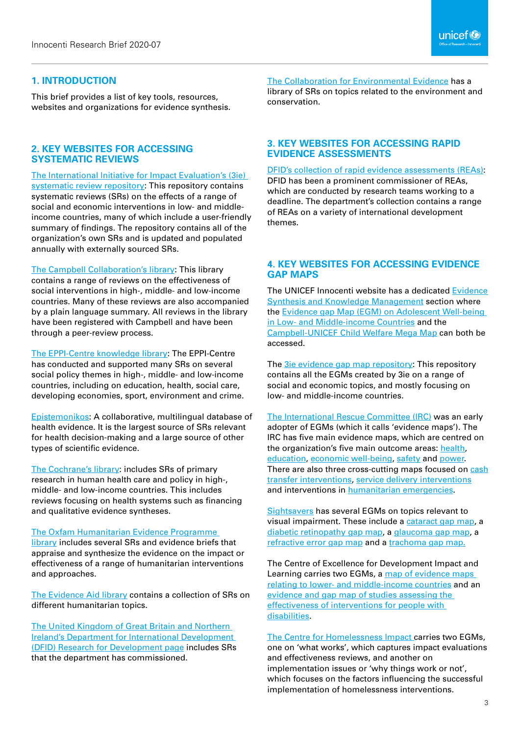This brief provides a list of key tools, resources, websites and organizations for evidence synthesis.

#### **2. KEY WEBSITES FOR ACCESSING SYSTEMATIC REVIEWS**

[The International Initiative for Impact Evaluation's \(3ie\)](http://www.3ieimpact.org/evidence-hub/systematic-review-repository)  [systematic review repository](http://www.3ieimpact.org/evidence-hub/systematic-review-repository): This repository contains systematic reviews (SRs) on the effects of a range of social and economic interventions in low- and middleincome countries, many of which include a user-friendly summary of findings. The repository contains all of the organization's own SRs and is updated and populated annually with externally sourced SRs.

[The Campbell Collaboration's library](https://onlinelibrary.wiley.com/journal/18911803): This library contains a range of reviews on the effectiveness of social interventions in high-, middle- and low-income countries. Many of these reviews are also accompanied by a plain language summary. All reviews in the library have been registered with Campbell and have been through a peer-review process.

[The EPPI-Centre knowledge library:](https://eppi.ioe.ac.uk/cms/Default.aspx?tabid=60) The EPPI-Centre has conducted and supported many SRs on several social policy themes in high-, middle- and low-income countries, including on education, health, social care, developing economies, sport, environment and crime.

[Epistemonikos:](https://www.epistemonikos.org/en/) A collaborative, multilingual database of health evidence. It is the largest source of SRs relevant for health decision-making and a large source of other types of scientific evidence.

The [Cochrane's library:](https://www.cochrane.org/evidence) includes SRs of primary research in human health care and policy in high-, middle- and low-income countries. This includes reviews focusing on health systems such as financing and qualitative evidence syntheses.

#### [The Oxfam Humanitarian Evidence Programme](https://policy-practice.oxfam.org.uk/our-work/humanitarian/humanitarian-evidence-programme#contentprimary_0_ctl00_FirstTab)

[library](https://policy-practice.oxfam.org.uk/our-work/humanitarian/humanitarian-evidence-programme#contentprimary_0_ctl00_FirstTab) includes several SRs and evidence briefs that appraise and synthesize the evidence on the impact or effectiveness of a range of humanitarian interventions and approaches.

The [Evidence Aid library](https://www.evidenceaid.org/) contains a collection of SRs on different humanitarian topics.

The United Kingdom of Great Britain and Northern Ireland's [Department for International Development](https://www.gov.uk/dfid-research-outputs)  [\(DFID\) Research for Development page](https://www.gov.uk/dfid-research-outputs) includes SRs that the department has commissioned.

[The Collaboration for Environmental Evidence](http://www.environmentalevidence.org/completed-reviews) has a library of SRs on topics related to the environment and conservation.

#### **3. KEY WEBSITES FOR ACCESSING RAPID EVIDENCE ASSESSMENTS**

themes.

[DFID's collection of rapid evidence assessments \(REAs\):](https://www.gov.uk/government/collections/rapid-evidence-assessments) DFID has been a prominent commissioner of REAs, which are conducted by research teams working to a deadline. The department's collection contains a range of REAs on a variety of international development

#### **4. KEY WEBSITES FOR ACCESSING EVIDENCE GAP MAPS**

The UNICEF Innocenti website has a dedicated [Evidence](https://www.unicef-irc.org/article/1812-evidence-synthesis.html)  [Synthesis and Knowledge Management](https://www.unicef-irc.org/article/1812-evidence-synthesis.html) section where the Evidence gap Map (E[GM\) on Adolescent Well-being](https://www.unicef-irc.org/evidence-gap-map/)  [in Low- and Middle-income Countries](https://www.unicef-irc.org/evidence-gap-map/) and the [Campbell-UNICEF Child Welfare Mega Map](https://campbellcollaboration.org/megamap_june252018.html?utm_source=unicefinnocenti) can both be accessed.

The **3**ie evidence gap map repository: This repository contains all the EGMs created by 3ie on a range of social and economic topics, and mostly focusing on low- and middle-income countries.

[The International Rescue Committee \(IRC\)](https://www.rescue.org/resource/strategy-2020-outcomes-and-evidence-framework-evidence-maps) was an early adopter of EGMs (which it calls 'evidence maps'). The IRC has five main evidence maps, which are centred on the organization's five main outcome areas: [health](https://rescue.app.box.com/s/deauuej0qdcpo1itlex1ygjzt3dcg3gt), [education](https://rescue.app.box.com/s/pwgtdoz5y166z8gnokcu1tosq7rtfzna), [economic well-being](https://rescue.box.com/s/461j4q4ry38z03ez4dzwt8e10p7l02ni), [safety](https://rescue.box.com/s/ycwbkz1u9b3sdjgdhsvwad34v8j35pt6) and [power](https://rescue.app.box.com/s/3hcti81yl1ejupkvuyvm7wlk5tgzhe74). There are also three cross-cutting maps focused on [cash](https://rescue.app.box.com/s/3aiervtxnevmpu4fyoyneqgwsj9v6xg9) [transfer interventions,](https://rescue.app.box.com/s/3aiervtxnevmpu4fyoyneqgwsj9v6xg9) [service delivery interventions](https://rescue.box.com/s/dm67efqjg59xmig2lczcsg9msohv20wg) and interventions in [humanitarian emergencies.](https://rescue.app.box.com/s/ehvur8tn6scnufyptxf563sqkryxzjdi)

[Sightsavers](https://research.sightsavers.org/gap-maps/) has several EGMs on topics relevant to visual impairment. These include a [cataract gap map](https://research.sightsavers.org/cataract-gap-map/), a d[iabetic retinopathy gap map](https://research.sightsavers.org/diabetic-retinopathy-gap-map/), a [glaucoma gap map,](https://research.sightsavers.org/glaucoma-gap-map/) a r[efractive error gap map](https://research.sightsavers.org/gap-maps/refractive-error-gap-map/) and a t[rachoma gap map](https://research.sightsavers.org/gap-maps/trachoma-gap-map/).

The Centre of Excellence for Development Impact and Learning carries two EGMs, a [map of evidence maps](https://cedilprogramme.org/map-evidence-maps/)  [relating to lower- and middle-income countries](https://cedilprogramme.org/map-evidence-maps/) and an [evidence and gap map of studies assessing the](https://cedilprogramme.org/evidence-and-gap-map-of-studies-assessing-the-effectiveness-of-interventions-for-people-with-disabilities/)  [effectiveness of interventions for people with](https://cedilprogramme.org/evidence-and-gap-map-of-studies-assessing-the-effectiveness-of-interventions-for-people-with-disabilities/)  [disabilities](https://cedilprogramme.org/evidence-and-gap-map-of-studies-assessing-the-effectiveness-of-interventions-for-people-with-disabilities/).

[The Centre for Homelessness Impact c](https://www.homelessnessimpact.org/gap-maps)arries two EGMs, one on 'what works', which captures impact evaluations and effectiveness reviews, and another on implementation issues or 'why things work or not', which focuses on the factors influencing the successful implementation of homelessness interventions.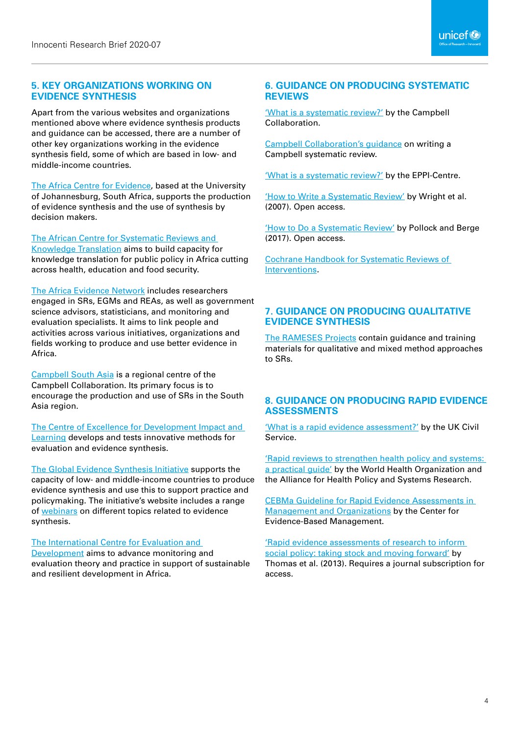#### **5. KEY ORGANIZATIONS WORKING ON EVIDENCE SYNTHESIS**

Apart from the various websites and organizations mentioned above where evidence synthesis products and guidance can be accessed, there are a number of other key organizations working in the evidence synthesis field, some of which are based in low- and middle-income countries.

[The Africa Centre for Evidence,](https://africacentreforevidence.org/) based at the University of Johannesburg, South Africa, supports the production of evidence synthesis and the use of synthesis by decision makers.

[The African Centre for Systematic Reviews and](http://chs.mak.ac.ug/afcen/) 

[Knowledge Translation](http://chs.mak.ac.ug/afcen/) aims to build capacity for knowledge translation for public policy in Africa cutting across health, education and food security.

[The Africa Evidence Network](http://www.africaevidencenetwork.org/) includes researchers engaged in SRs, EGMs and REAs, as well as government science advisors, statisticians, and monitoring and evaluation specialists. It aims to link people and activities across various initiatives, organizations and fields working to produce and use better evidence in Africa.

[Campbell South Asia](https://campbellcollaboration.org/southasia/) is a regional centre of the Campbell Collaboration. Its primary focus is to encourage the production and use of SRs in the South Asia region.

[The Centre of Excellence for Development Impact and](https://cedilprogramme.org/)  [Learning](https://cedilprogramme.org/) develops and tests innovative methods for evaluation and evidence synthesis.

[The Global Evidence Synthesis Initiative](http://www.gesiinitiative.com) supports the capacity of low- and middle-income countries to produce evidence synthesis and use this to support practice and policymaking. The initiative's website includes a range of [webinars](http://www.gesiinitiative.com/gesi-webinars/gesi) on different topics related to evidence synthesis.

#### [The International Centre for Evaluation and](https://www.iced-eval.org/)

[Development](https://www.iced-eval.org/) aims to advance monitoring and evaluation theory and practice in support of sustainable and resilient development in Africa.

#### **6. GUIDANCE ON PRODUCING SYSTEMATIC REVIEWS**

['What is a systematic review?'](https://www.campbellcollaboration.org/explore/what-is-a-systematic-review.html) by the Campbell Collaboration.

[Campbell Collaboration's guidance](https://campbellcollaboration.org/research-resources/writing-a-campbell-systematic-review.html) on writing a Campbell systematic review.

['What is a systematic review?'](https://eppi.ioe.ac.uk/cms/Default.aspx?tabid=67) by the EPPI-Centre.

['How to Write a Systematic Review'](https://pdfs.semanticscholar.org/552d/32f1bb9568228ac75d16b31d9eae210118f8.pdf) by Wright et al. (2007). Open access.

['How to Do a Systematic Review'](https://journals.sagepub.com/doi/10.1177/1747493017743796) by Pollock and Berge (2017). Open access.

[Cochrane Handbook](https://training.cochrane.org/handbook) for Systematic Reviews of Interventions*.*

#### **7. GUIDANCE ON PRODUCING QUALITATIVE EVIDENCE SYNTHESIS**

[The RAMESES Project](http://www.ramesesproject.org/)s contain guidance and training materials for qualitative and mixed method approaches to SRs.

#### **8. GUIDANCE ON PRODUCING RAPID EVIDENCE ASSESSMENTS**

['What is a rapid evidence assessment?'](https://webarchive.nationalarchives.gov.uk/20140402163359/http:/www.civilservice.gov.uk/networks/gsr/resources-and-guidance/rapid-evidence-assessment/what-is) by the UK Civil Service.

['Rapid reviews to strengthen health policy and systems:](https://www.who.int/alliance-hpsr/resources/publications/rapid-review-guide/en/)  [a practical guide'](https://www.who.int/alliance-hpsr/resources/publications/rapid-review-guide/en/) by the World Health Organization and the Alliance for Health Policy and Systems Research.

[CEBMa Guideline for Rapid Evidence Assessments in](https://www.cebma.org/wp-content/uploads/CEBMa-REA-Guideline.pdf)  [Management and Organizations](https://www.cebma.org/wp-content/uploads/CEBMa-REA-Guideline.pdf) by the Center for Evidence-Based Management.

['Rapid evidence assessments of research to inform](https://doi.org/10.1332/174426413X662572)  [social policy: taking stock and moving forward'](https://doi.org/10.1332/174426413X662572) by Thomas et al. (2013). Requires a journal subscription for access.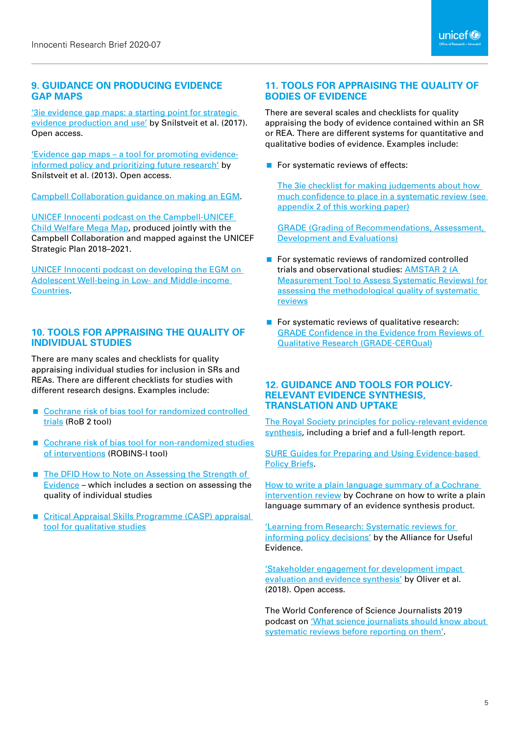#### **9. GUIDANCE ON PRODUCING EVIDENCE GAP MAPS**

['3ie evidence gap maps: a starting point for strategic](https://www.3ieimpact.org/evidence-hub/publications/working-papers/3ie-evidence-gap-maps-starting-point-strategic-evidence)  [evidence production and use'](https://www.3ieimpact.org/evidence-hub/publications/working-papers/3ie-evidence-gap-maps-starting-point-strategic-evidence) by Snilstveit et al. (2017). Open access.

['Evidence gap maps – a tool for promoting evidence](http://documents.worldbank.org/curated/en/212651468163487838/Evidence-gap-maps-a-tool-for-promoting-evidence-informed-policy-and-prioritizing-future-research)[informed policy and prioritizing future research'](http://documents.worldbank.org/curated/en/212651468163487838/Evidence-gap-maps-a-tool-for-promoting-evidence-informed-policy-and-prioritizing-future-research) by Snilstveit et al. (2013). Open access.

[Campbell Collaboration guidance on making an EGM.](https://www.campbellcollaboration.org/evidence-gap-maps.html)

[UNICEF Innocenti podcast on the Campbell-UNICEF](https://soundcloud.com/unicef-office-of-research/closing-the-gap-on-child-well-being-kerry-albright-on-the-new-evidence-mega-map)  [Child Welfare Mega Map](https://soundcloud.com/unicef-office-of-research/closing-the-gap-on-child-well-being-kerry-albright-on-the-new-evidence-mega-map), produced jointly with the Campbell Collaboration and mapped against the UNICEF Strategic Plan 2018–2021.

[UNICEF Innocenti podcast on developing the EGM on](https://soundcloud.com/unicef-office-of-research/evidence-gap-map-adolescent-wellbeing)  [Adolescent Well-being in Low- and Middle-income](https://soundcloud.com/unicef-office-of-research/evidence-gap-map-adolescent-wellbeing)  [Countries](https://soundcloud.com/unicef-office-of-research/evidence-gap-map-adolescent-wellbeing).

#### **10. TOOLS FOR APPRAISING THE QUALITY OF INDIVIDUAL STUDIES**

There are many scales and checklists for quality appraising individual studies for inclusion in SRs and REAs. There are different checklists for studies with different research designs. Examples include:

- Cochrane risk of bias tool for randomized controlled [trials](https://sites.google.com/site/riskofbiastool/welcome/rob-2-0-tool?authuser=0) (RoB 2 tool)
- Cochrane risk of bias tool for non-randomized studies [of interventions](https://sites.google.com/site/riskofbiastool/welcome/home/current-version-of-robins-i) (ROBINS-I tool)
- The DFID How to Note on Assessing the Strength of [Evidence](https://www.gov.uk/government/publications/how-to-note-assessing-the-strength-of-evidence) – which includes a section on assessing the quality of individual studies
- Critical Appraisal Skills Programme (CASP) appraisal [tool for qualitative studies](https://casp-uk.net/casp-tools-checklists/)

#### **11. TOOLS FOR APPRAISING THE QUALITY OF BODIES OF EVIDENCE**

There are several scales and checklists for quality appraising the body of evidence contained within an SR or REA. There are different systems for quantitative and qualitative bodies of evidence. Examples include:

For systematic reviews of effects:

[The 3ie checklist for making judgements about how](http://documents.worldbank.org/curated/en/212651468163487838/pdf/WPS6725.pdf)  [much confidence to place in a systematic review \(see](http://documents.worldbank.org/curated/en/212651468163487838/pdf/WPS6725.pdf)  [appendix 2 of this working paper\)](http://documents.worldbank.org/curated/en/212651468163487838/pdf/WPS6725.pdf)

[GRADE \(Grading of Recommendations, Assessment,](http://www.gradeworkinggroup.org/)  [Development and Evaluations\)](http://www.gradeworkinggroup.org/)

- For systematic reviews of randomized controlled trials and observational studies: [AMSTAR 2 \(A](https://amstar.ca/index.php)  [Measurement Tool to Assess Systematic Reviews\) for](https://amstar.ca/index.php)  [assessing the methodological quality of systematic](https://amstar.ca/index.php)  [reviews](https://amstar.ca/index.php)
- For systematic reviews of qualitative research: [GRADE Confidence in the Evidence from Reviews of](https://www.cerqual.org/)  [Qualitative Research \(GRADE-CERQual\)](https://www.cerqual.org/)

#### **12. GUIDANCE AND TOOLS FOR POLICY-RELEVANT EVIDENCE SYNTHESIS, TRANSLATION AND UPTAKE**

[The Royal Society principles for policy-relevant evidence](https://royalsociety.org/topics-policy/projects/evidence-synthesis/)  [synthesis,](https://royalsociety.org/topics-policy/projects/evidence-synthesis/) including a brief and a full-length report.

[SURE Guides for Preparing and Using Evidence-based](https://www.who.int/evidence/sure/guides/en/)  [Policy Briefs](https://www.who.int/evidence/sure/guides/en/).

[How to write a plain language summary of a Cochrane](https://www.cochrane.no/sites/cochrane.no/files/public/uploads/how_to_write_a_cochrane_pls_12th_february_2019.pdf)  [intervention review](https://www.cochrane.no/sites/cochrane.no/files/public/uploads/how_to_write_a_cochrane_pls_12th_february_2019.pdf) by Cochrane on how to write a plain language summary of an evidence synthesis product.

['Learning from Research: Systematic reviews for](https://www.alliance4usefulevidence.org/publication/learning-from-research/)  [informing policy decisions'](https://www.alliance4usefulevidence.org/publication/learning-from-research/) by the Alliance for Useful Evidence.

['Stakeholder engagement for development impact](https://cedilprogramme.org/wp-content/uploads/2018/10/Stakeholder-Engagement-for-Development.pdf)  [evaluation and evidence synthesis'](https://cedilprogramme.org/wp-content/uploads/2018/10/Stakeholder-Engagement-for-Development.pdf) by Oliver et al. (2018). Open access.

The World Conference of Science Journalists 2019 podcast on '[What science journalists should know about](https://soundcloud.com/jopinie/what-science-journalists-should-know-about-systematic-review-before-reporting-on-them)  [systematic reviews before reporting on them'.](https://soundcloud.com/jopinie/what-science-journalists-should-know-about-systematic-review-before-reporting-on-them)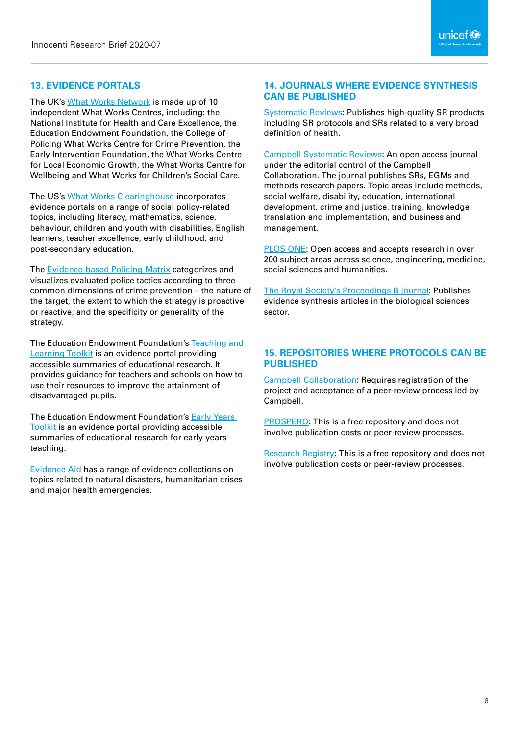#### **13. EVIDENCE PORTALS**

The UK's [What Works Network](https://www.gov.uk/guidance/what-works-network#the-what-works-network) is made up of 10 independent What Works Centres, including: the National Institute for Health and Care Excellence, the Education Endowment Foundation, the College of Policing What Works Centre for Crime Prevention, the Early Intervention Foundation, the What Works Centre for Local Economic Growth, the What Works Centre for Wellbeing and What Works for Children's Social Care.

The US's [What Works Clearinghouse](https://ies.ed.gov/ncee/wwc/) incorporates evidence portals on a range of social policy-related topics, including literacy, mathematics, science, behaviour, children and youth with disabilities, English learners, teacher excellence, early childhood, and post-secondary education.

[The Evidence-based Policing Matrix](https://cebcp.org/evidence-based-policing/the-matrix/) categorizes and visualizes evaluated police tactics according to three common dimensions of crime prevention – the nature of the target, the extent to which the strategy is proactive or reactive, and the specificity or generality of the strategy.

The Education Endowment Foundation's [Teaching and](https://educationendowmentfoundation.org.uk/evidence-summaries/teaching-learning-toolkit)  [Learning Toolkit](https://educationendowmentfoundation.org.uk/evidence-summaries/teaching-learning-toolkit) is an evidence portal providing accessible summaries of educational research. It provides guidance for teachers and schools on how to use their resources to improve the attainment of disadvantaged pupils.

The Education Endowment Foundation's [Early Years](https://educationendowmentfoundation.org.uk/evidence-summaries/early-years-toolkit/)  [Toolkit](https://educationendowmentfoundation.org.uk/evidence-summaries/early-years-toolkit/) is an evidence portal providing accessible summaries of educational research for early years teaching.

[Evidence Aid](https://www.evidenceaid.org/resources/) has a range of evidence collections on topics related to natural disasters, humanitarian crises and major health emergencies.

#### **14. JOURNALS WHERE EVIDENCE SYNTHESIS CAN BE PUBLISHED**

[Systematic Reviews:](https://systematicreviewsjournal.biomedcentral.com/) Publishes high-quality SR products including SR protocols and SRs related to a very broad definition of health.

[Campbell Systematic Reviews](https://onlinelibrary.wiley.com/journal/18911803): An open access journal under the editorial control of the Campbell Collaboration. The journal publishes SRs, EGMs and methods research papers. Topic areas include methods, social welfare, disability, education, international development, crime and justice, training, knowledge translation and implementation, and business and management.

[PLOS ONE](https://journals.plos.org/plosone/): Open access and accepts research in over 200 subject areas across science, engineering, medicine, social sciences and humanities.

[The Royal Society's Proceedings B journal](https://royalsocietypublishing.org/rspb/evidence-synthesis): Publishes evidence synthesis articles in the biological sciences sector.

#### **15. REPOSITORIES WHERE PROTOCOLS CAN BE PUBLISHED**

[Campbell Collaboration](https://campbellcollaboration.org/): Requires registration of the project and acceptance of a peer-review process led by Campbell.

[PROSPERO](https://www.crd.york.ac.uk/prospero/): This is a free repository and does not involve publication costs or peer-review processes.

[Research Registry:](https://www.researchregistry.com/) This is a free repository and does not involve publication costs or peer-review processes.